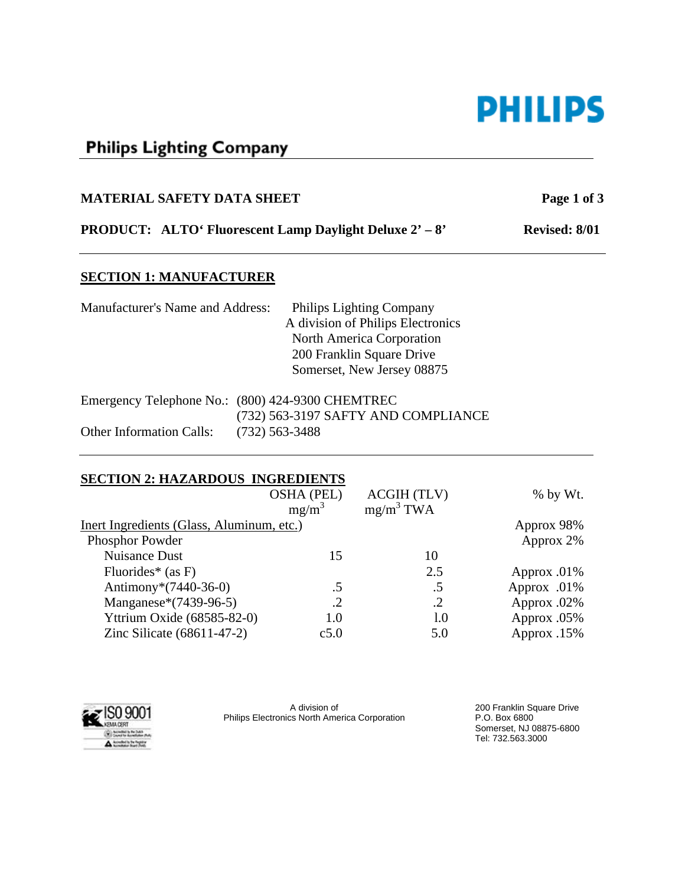# **PHILIPS**

# **Philips Lighting Company**

# **MATERIAL SAFETY DATA SHEET** Page 1 of 3

# **PRODUCT: ALTO' Fluorescent Lamp Daylight Deluxe 2' – 8' Revised: 8/01**

#### **SECTION 1: MANUFACTURER**

| Manufacturer's Name and Address: | <b>Philips Lighting Company</b>                  |
|----------------------------------|--------------------------------------------------|
|                                  | A division of Philips Electronics                |
|                                  | North America Corporation                        |
|                                  | 200 Franklin Square Drive                        |
|                                  | Somerset, New Jersey 08875                       |
|                                  | Emergency Telephone No.: (800) 424-9300 CHEMTREC |
|                                  | (732) 563-3197 SAFTY AND COMPLIANCE              |
| <b>Other Information Calls:</b>  | $(732)$ 563-3488                                 |

#### **SECTION 2: HAZARDOUS INGREDIENTS**

|                                           | <b>OSHA (PEL)</b> | <b>ACGIH (TLV)</b> | % by Wt.       |
|-------------------------------------------|-------------------|--------------------|----------------|
|                                           | $mg/m^3$          | $mg/m^3$ TWA       |                |
| Inert Ingredients (Glass, Aluminum, etc.) | Approx 98%        |                    |                |
| Phosphor Powder                           |                   |                    | Approx 2%      |
| <b>Nuisance Dust</b>                      | 15                | 10                 |                |
| Fluorides* (as $F$ )                      |                   | 2.5                | Approx $.01\%$ |
| Antimony*(7440-36-0)                      | .5                | .5                 | Approx .01%    |
| Manganese*(7439-96-5)                     | .2                | .2                 | Approx .02%    |
| Yttrium Oxide (68585-82-0)                | 1.0               | 1.0                | Approx .05%    |
| Zinc Silicate $(68611-47-2)$              | c5.0              | 5.0                | Approx .15%    |
|                                           |                   |                    |                |



A division of Philips Electronics North America Corporation 200 Franklin Square Drive P.O. Box 6800 Somerset, NJ 08875-6800 Tel: 732.563.3000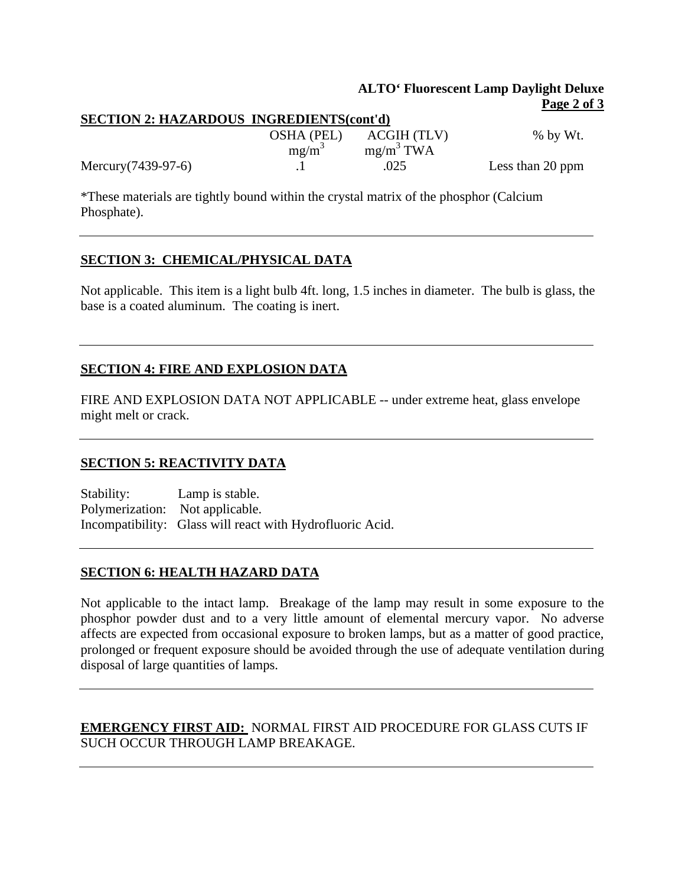#### **ALTO' Fluorescent Lamp Daylight Deluxe Page 2 of 3**

| <b>SECTION 2: HAZARDOUS INGREDIENTS(cont'd)</b> |            |              |                  |  |  |
|-------------------------------------------------|------------|--------------|------------------|--|--|
|                                                 | OSHA (PEL) | ACGIH (TLV)  | $%$ by Wt.       |  |  |
|                                                 | $mg/m^3$   | $mg/m^3$ TWA |                  |  |  |
| Mercury (7439-97-6)                             |            | .025         | Less than 20 ppm |  |  |

\*These materials are tightly bound within the crystal matrix of the phosphor (Calcium Phosphate).

#### **SECTION 3: CHEMICAL/PHYSICAL DATA**

Not applicable. This item is a light bulb 4ft. long, 1.5 inches in diameter. The bulb is glass, the base is a coated aluminum. The coating is inert.

## **SECTION 4: FIRE AND EXPLOSION DATA**

FIRE AND EXPLOSION DATA NOT APPLICABLE -- under extreme heat, glass envelope might melt or crack.

#### **SECTION 5: REACTIVITY DATA**

Stability: Lamp is stable. Polymerization: Not applicable. Incompatibility: Glass will react with Hydrofluoric Acid.

#### **SECTION 6: HEALTH HAZARD DATA**

Not applicable to the intact lamp. Breakage of the lamp may result in some exposure to the phosphor powder dust and to a very little amount of elemental mercury vapor. No adverse affects are expected from occasional exposure to broken lamps, but as a matter of good practice, prolonged or frequent exposure should be avoided through the use of adequate ventilation during disposal of large quantities of lamps.

## **EMERGENCY FIRST AID:** NORMAL FIRST AID PROCEDURE FOR GLASS CUTS IF SUCH OCCUR THROUGH LAMP BREAKAGE.